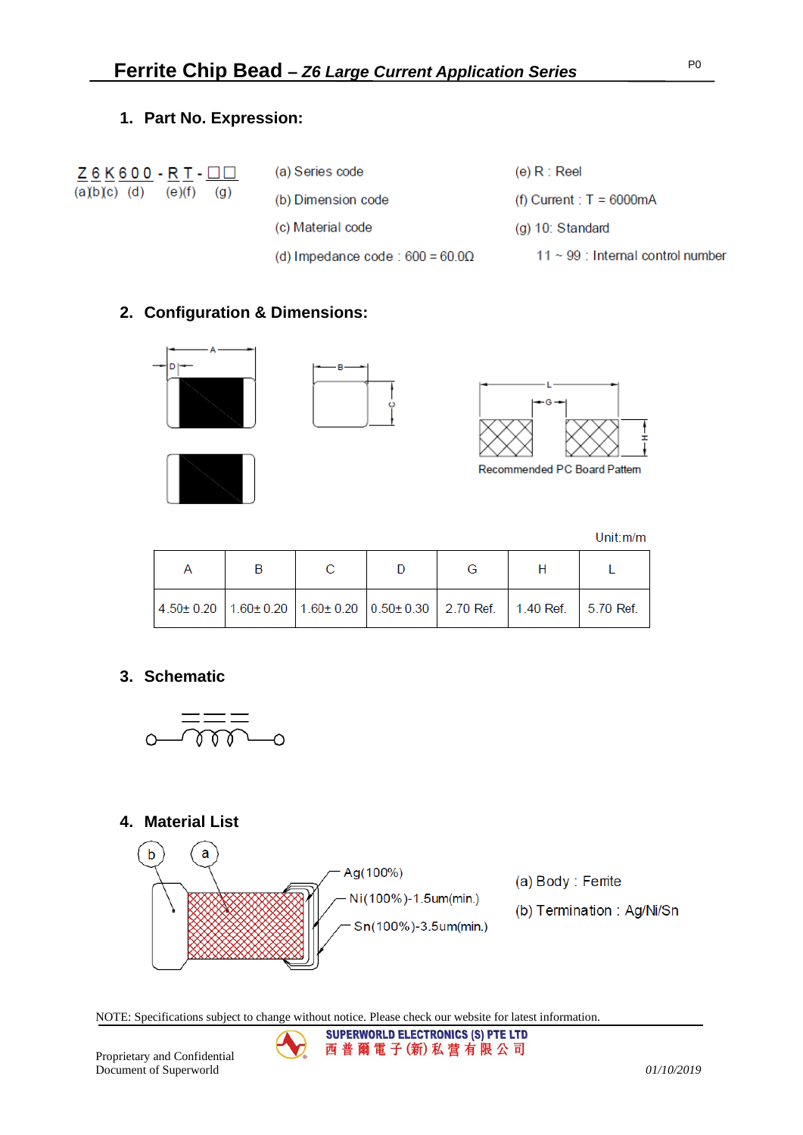### **1. Part No. Expression:**

|               | $Z6K600 - RT - \Box$ |                   |
|---------------|----------------------|-------------------|
| $(a)b(c)$ (d) | (e)(f)               | $\left( q\right)$ |

| (a) Series code                         | (e) $R : Reel$                         |
|-----------------------------------------|----------------------------------------|
| (b) Dimension code                      | (f) Current : $T = 6000 \text{mA}$     |
| (c) Material code                       | $(g)$ 10: Standard                     |
| (d) Impedance code : $600 = 60.0\Omega$ | $11 \sim 99$ : Internal control number |

# **2. Configuration & Dimensions:**









Recommended PC Board Pattern

Unit:m/m

| $1.50 \pm 0.20$ 1.60 $\pm$ 0.20 1.60 $\pm$ 0.20 0.50 $\pm$ 0.30 2.70 Ref. 1.40 Ref. 5.70 Ref. |  |  |  |
|-----------------------------------------------------------------------------------------------|--|--|--|

### **3. Schematic**



# **4. Material List**



**SUPERWORLD ELECTRONICS (S) PTE LTD** 西普爾電子(新)私营有限公司

NOTE: Specifications subject to change without notice. Please check our website for latest information.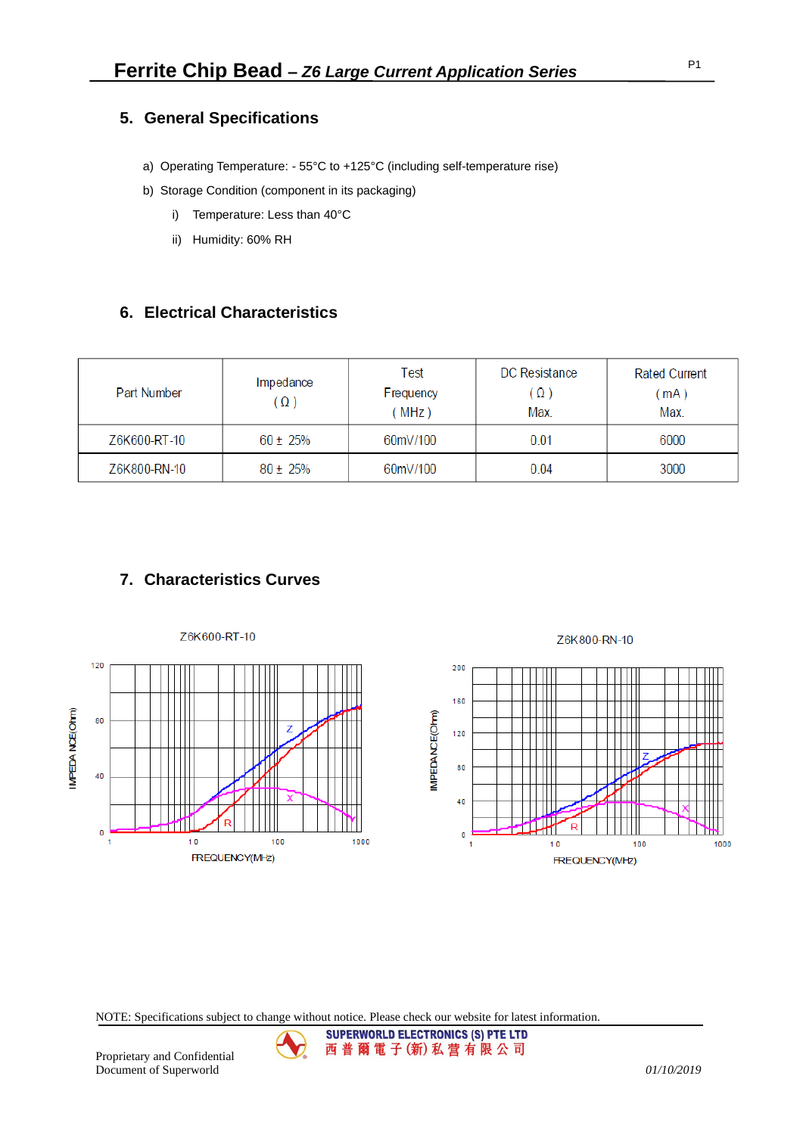### **5. General Specifications**

- a) Operating Temperature: 55°C to +125°C (including self-temperature rise)
- b) Storage Condition (component in its packaging)
	- i) Temperature: Less than 40°C
	- ii) Humidity: 60% RH

### **6. Electrical Characteristics**

| Part Number  | Impedance<br>Ω) | Test<br>Frequency<br>MHz) | DC Resistance<br>$(\Omega)$<br>Max. | <b>Rated Current</b><br>mA)<br>Max. |
|--------------|-----------------|---------------------------|-------------------------------------|-------------------------------------|
| Z6K600-RT-10 | $60 \pm 25\%$   | 60mV/100                  | 0.01                                | 6000                                |
| Z6K800-RN-10 | $80 \pm 25\%$   | 60mV/100                  | 0.04                                | 3000                                |

# **7. Characteristics Curves**



NOTE: Specifications subject to change without notice. Please check our website for latest information.

**SUPERWORLD ELECTRONICS (S) PTE LTD** 西普爾電子(新)私营有限公司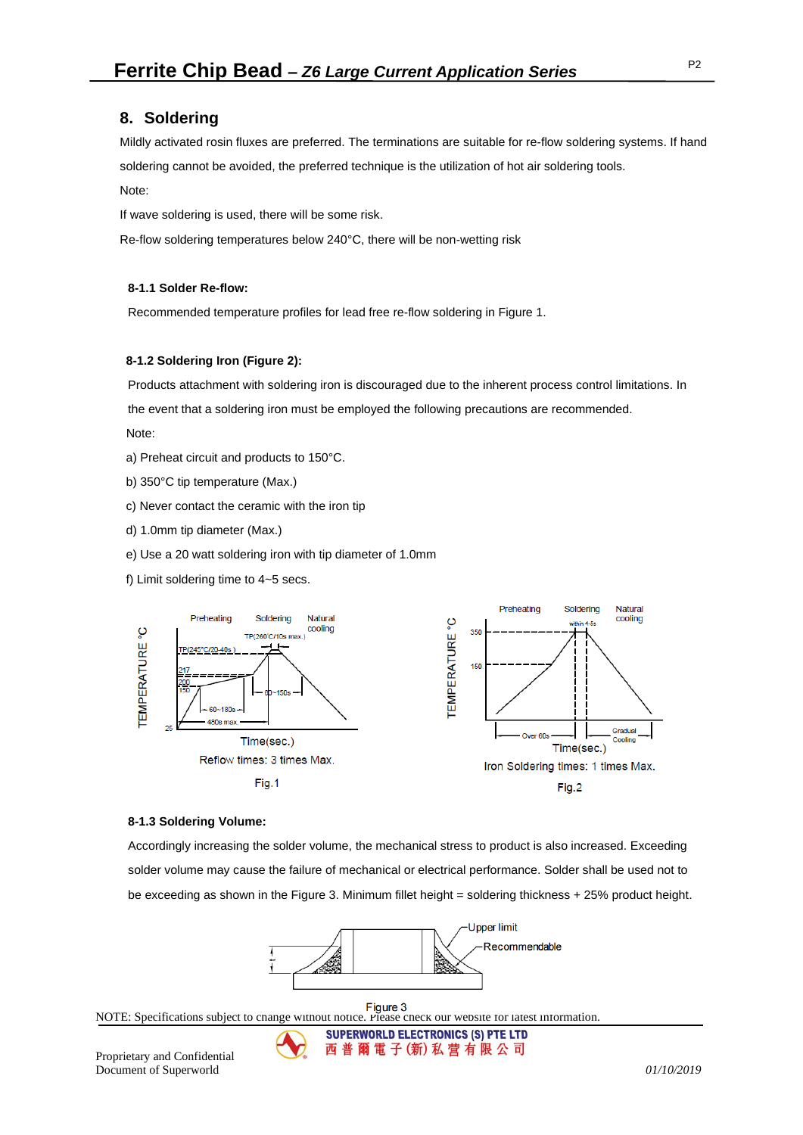### **8. Soldering**

Mildly activated rosin fluxes are preferred. The terminations are suitable for re-flow soldering systems. If hand soldering cannot be avoided, the preferred technique is the utilization of hot air soldering tools.

#### Note:

If wave soldering is used, there will be some risk.

Re-flow soldering temperatures below 240°C, there will be non-wetting risk

#### **8-1.1 Solder Re-flow:**

Recommended temperature profiles for lead free re-flow soldering in Figure 1.

#### **8-1.2 Soldering Iron (Figure 2):**

Products attachment with soldering iron is discouraged due to the inherent process control limitations. In the event that a soldering iron must be employed the following precautions are recommended. Note:

- a) Preheat circuit and products to 150°C.
- b) 350°C tip temperature (Max.)
- c) Never contact the ceramic with the iron tip
- d) 1.0mm tip diameter (Max.)
- e) Use a 20 watt soldering iron with tip diameter of 1.0mm
- f) Limit soldering time to 4~5 secs.



#### **8-1.3 Soldering Volume:**

Accordingly increasing the solder volume, the mechanical stress to product is also increased. Exceeding solder volume may cause the failure of mechanical or electrical performance. Solder shall be used not to be exceeding as shown in the Figure 3. Minimum fillet height = soldering thickness + 25% product height.



NOTE: Specifications subject to change without notice. Please check our website for latest information.

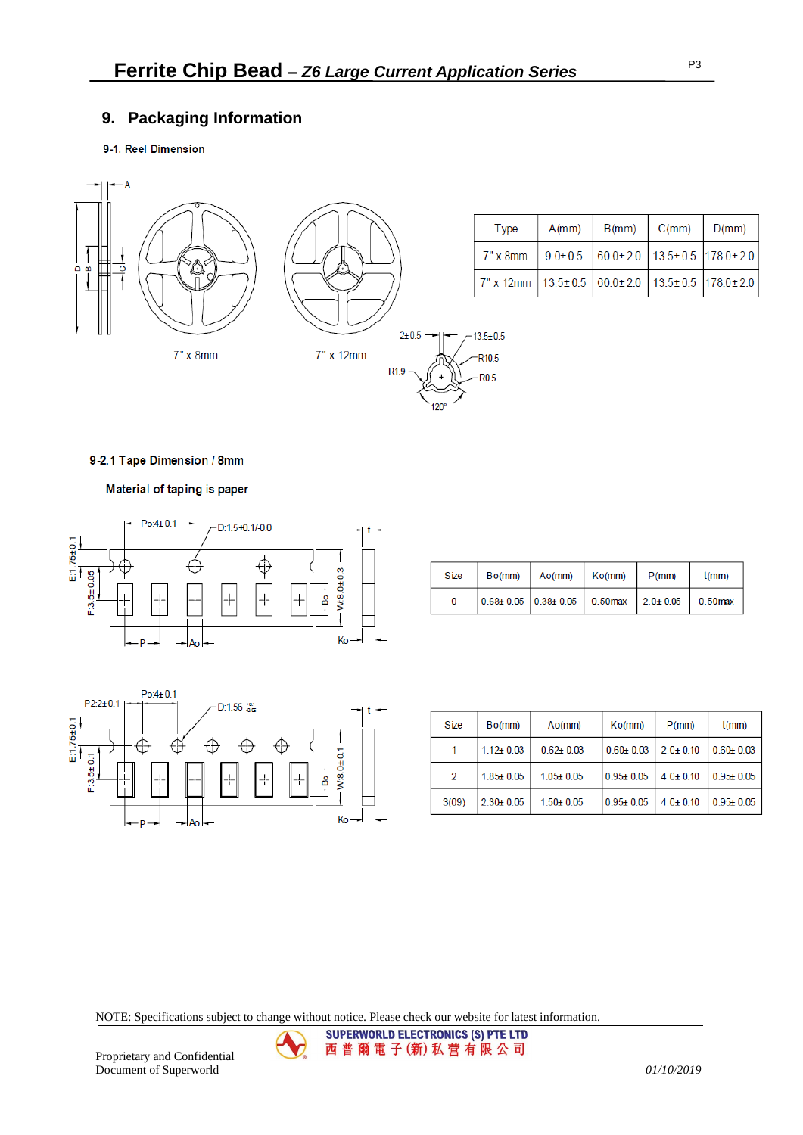# **9. Packaging Information**

### 9-1. Reel Dimension



| <b>Type</b>                                                                  | A(mm) | B(mm) | C(mm) | $\mid$ D(mm) |
|------------------------------------------------------------------------------|-------|-------|-------|--------------|
| 7" x 8mm   $9.0 \pm 0.5$   $60.0 \pm 2.0$   $13.5 \pm 0.5$   $178.0 \pm 2.0$ |       |       |       |              |
| 7" x 12mm   13.5± 0.5   60.0± 2.0   13.5± 0.5   178.0± 2.0                   |       |       |       |              |

P3

#### 9-2.1 Tape Dimension / 8mm

Material of taping is paper



| Size | Bo(mm) | Ao(mm)                                                                                       | Ko(mm) | $P$ (mm) | t(mm) |
|------|--------|----------------------------------------------------------------------------------------------|--------|----------|-------|
| 0    |        | $\vert 0.68 \pm 0.05 \vert 0.38 \pm 0.05 \vert 0.50$ max $\vert 2.0 \pm 0.05 \vert 0.50$ max |        |          |       |



| Size  | Bo(mm)        | A <sub>O</sub> (mm) | Ko(mm)        | $P$ (mm)       | $t$ (mm)      |
|-------|---------------|---------------------|---------------|----------------|---------------|
|       | $1.12 + 0.03$ | $0.62 + 0.03$       | $0.60 + 0.03$ | $2.0 \pm 0.10$ | $0.60 + 0.03$ |
| 2     | $1.85 + 0.05$ | $1.05 + 0.05$       | $0.95 + 0.05$ | $4.0 \pm 0.10$ | $0.95 + 0.05$ |
| 3(09) | $2.30 + 0.05$ | $1.50 + 0.05$       | $0.95 + 0.05$ | $4.0 \pm 0.10$ | $0.95 + 0.05$ |

NOTE: Specifications subject to change without notice. Please check our website for latest information.

SUPERWORLD ELECTRONICS (S) PTE LTD 西普爾電子(新)私营有限公司